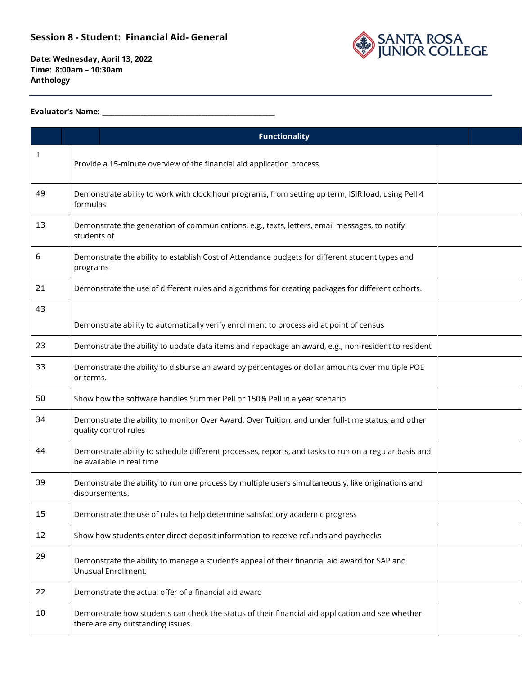

**Date: Wednesday, April 13, 2022 Time: 8:00am – 10:30am Anthology**

#### **Evaluator's Name: \_\_\_\_\_\_\_\_\_\_\_\_\_\_\_\_\_\_\_\_\_\_\_\_\_\_\_\_\_\_\_\_\_\_\_\_\_\_\_\_\_\_\_\_\_\_\_\_\_\_\_\_\_\_**

|    |                                                                                                                 | <b>Functionality</b>                                                                                                                  |  |  |
|----|-----------------------------------------------------------------------------------------------------------------|---------------------------------------------------------------------------------------------------------------------------------------|--|--|
| 1  |                                                                                                                 | Provide a 15-minute overview of the financial aid application process.                                                                |  |  |
| 49 | Demonstrate ability to work with clock hour programs, from setting up term, ISIR load, using Pell 4<br>formulas |                                                                                                                                       |  |  |
| 13 | Demonstrate the generation of communications, e.g., texts, letters, email messages, to notify<br>students of    |                                                                                                                                       |  |  |
| 6  | Demonstrate the ability to establish Cost of Attendance budgets for different student types and<br>programs     |                                                                                                                                       |  |  |
| 21 | Demonstrate the use of different rules and algorithms for creating packages for different cohorts.              |                                                                                                                                       |  |  |
| 43 |                                                                                                                 | Demonstrate ability to automatically verify enrollment to process aid at point of census                                              |  |  |
| 23 |                                                                                                                 | Demonstrate the ability to update data items and repackage an award, e.g., non-resident to resident                                   |  |  |
| 33 | or terms.                                                                                                       | Demonstrate the ability to disburse an award by percentages or dollar amounts over multiple POE                                       |  |  |
| 50 |                                                                                                                 | Show how the software handles Summer Pell or 150% Pell in a year scenario                                                             |  |  |
| 34 |                                                                                                                 | Demonstrate the ability to monitor Over Award, Over Tuition, and under full-time status, and other<br>quality control rules           |  |  |
| 44 |                                                                                                                 | Demonstrate ability to schedule different processes, reports, and tasks to run on a regular basis and<br>be available in real time    |  |  |
| 39 |                                                                                                                 | Demonstrate the ability to run one process by multiple users simultaneously, like originations and<br>disbursements.                  |  |  |
| 15 |                                                                                                                 | Demonstrate the use of rules to help determine satisfactory academic progress                                                         |  |  |
| 12 |                                                                                                                 | Show how students enter direct deposit information to receive refunds and paychecks                                                   |  |  |
| 29 |                                                                                                                 | Demonstrate the ability to manage a student's appeal of their financial aid award for SAP and<br>Unusual Enrollment.                  |  |  |
| 22 |                                                                                                                 | Demonstrate the actual offer of a financial aid award                                                                                 |  |  |
| 10 |                                                                                                                 | Demonstrate how students can check the status of their financial aid application and see whether<br>there are any outstanding issues. |  |  |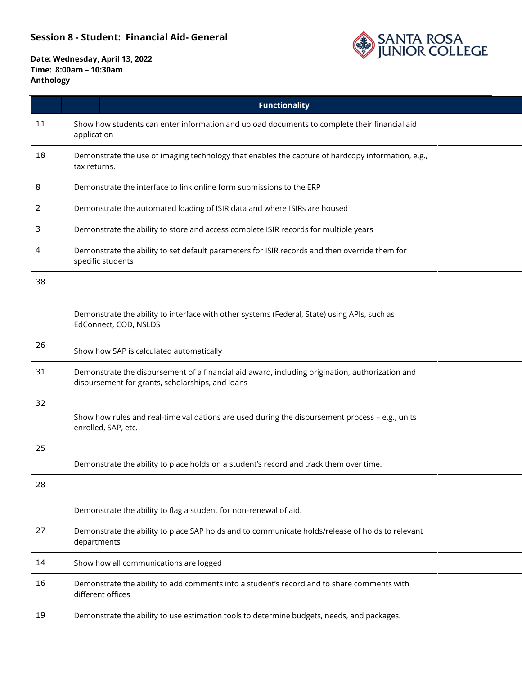

**Date: Wednesday, April 13, 2022 Time: 8:00am – 10:30am Anthology**

|    | <b>Functionality</b>                                                                                                                                |  |  |
|----|-----------------------------------------------------------------------------------------------------------------------------------------------------|--|--|
| 11 | Show how students can enter information and upload documents to complete their financial aid<br>application                                         |  |  |
| 18 | Demonstrate the use of imaging technology that enables the capture of hardcopy information, e.g.,<br>tax returns.                                   |  |  |
| 8  | Demonstrate the interface to link online form submissions to the ERP                                                                                |  |  |
| 2  | Demonstrate the automated loading of ISIR data and where ISIRs are housed                                                                           |  |  |
| 3  | Demonstrate the ability to store and access complete ISIR records for multiple years                                                                |  |  |
| 4  | Demonstrate the ability to set default parameters for ISIR records and then override them for<br>specific students                                  |  |  |
| 38 |                                                                                                                                                     |  |  |
|    | Demonstrate the ability to interface with other systems (Federal, State) using APIs, such as<br>EdConnect, COD, NSLDS                               |  |  |
| 26 | Show how SAP is calculated automatically                                                                                                            |  |  |
| 31 | Demonstrate the disbursement of a financial aid award, including origination, authorization and<br>disbursement for grants, scholarships, and loans |  |  |
| 32 | Show how rules and real-time validations are used during the disbursement process - e.g., units<br>enrolled, SAP, etc.                              |  |  |
| 25 | Demonstrate the ability to place holds on a student's record and track them over time.                                                              |  |  |
| 28 |                                                                                                                                                     |  |  |
|    | Demonstrate the ability to flag a student for non-renewal of aid.                                                                                   |  |  |
| 27 | Demonstrate the ability to place SAP holds and to communicate holds/release of holds to relevant<br>departments                                     |  |  |
| 14 | Show how all communications are logged                                                                                                              |  |  |
| 16 | Demonstrate the ability to add comments into a student's record and to share comments with<br>different offices                                     |  |  |
| 19 | Demonstrate the ability to use estimation tools to determine budgets, needs, and packages.                                                          |  |  |
|    |                                                                                                                                                     |  |  |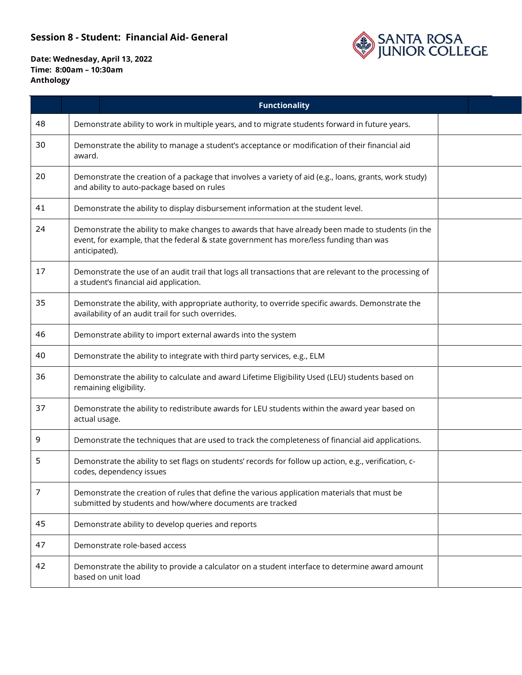

**Date: Wednesday, April 13, 2022 Time: 8:00am – 10:30am Anthology**

|    |               | <b>Functionality</b>                                                                                                                                                                        |  |  |  |
|----|---------------|---------------------------------------------------------------------------------------------------------------------------------------------------------------------------------------------|--|--|--|
| 48 |               | Demonstrate ability to work in multiple years, and to migrate students forward in future years.                                                                                             |  |  |  |
| 30 |               | Demonstrate the ability to manage a student's acceptance or modification of their financial aid<br>award.                                                                                   |  |  |  |
| 20 |               | Demonstrate the creation of a package that involves a variety of aid (e.g., loans, grants, work study)<br>and ability to auto-package based on rules                                        |  |  |  |
| 41 |               | Demonstrate the ability to display disbursement information at the student level.                                                                                                           |  |  |  |
| 24 | anticipated). | Demonstrate the ability to make changes to awards that have already been made to students (in the<br>event, for example, that the federal & state government has more/less funding than was |  |  |  |
| 17 |               | Demonstrate the use of an audit trail that logs all transactions that are relevant to the processing of<br>a student's financial aid application.                                           |  |  |  |
| 35 |               | Demonstrate the ability, with appropriate authority, to override specific awards. Demonstrate the<br>availability of an audit trail for such overrides.                                     |  |  |  |
| 46 |               | Demonstrate ability to import external awards into the system                                                                                                                               |  |  |  |
| 40 |               | Demonstrate the ability to integrate with third party services, e.g., ELM                                                                                                                   |  |  |  |
| 36 |               | Demonstrate the ability to calculate and award Lifetime Eligibility Used (LEU) students based on<br>remaining eligibility.                                                                  |  |  |  |
| 37 | actual usage. | Demonstrate the ability to redistribute awards for LEU students within the award year based on                                                                                              |  |  |  |
| 9  |               | Demonstrate the techniques that are used to track the completeness of financial aid applications.                                                                                           |  |  |  |
| 5  |               | Demonstrate the ability to set flags on students' records for follow up action, e.g., verification, c-<br>codes, dependency issues                                                          |  |  |  |
| 7  |               | Demonstrate the creation of rules that define the various application materials that must be<br>submitted by students and how/where documents are tracked                                   |  |  |  |
| 45 |               | Demonstrate ability to develop queries and reports                                                                                                                                          |  |  |  |
| 47 |               | Demonstrate role-based access                                                                                                                                                               |  |  |  |
| 42 |               | Demonstrate the ability to provide a calculator on a student interface to determine award amount<br>based on unit load                                                                      |  |  |  |
|    |               |                                                                                                                                                                                             |  |  |  |